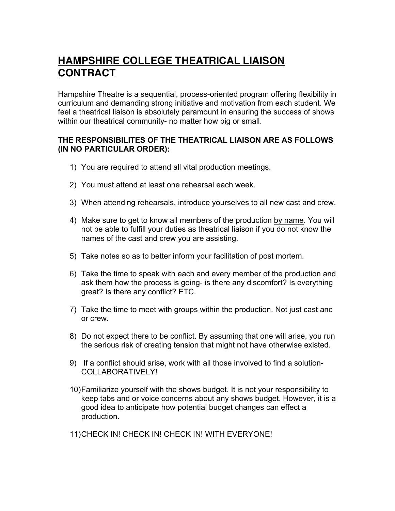## **HAMPSHIRE COLLEGE THEATRICAL LIAISON CONTRACT**

Hampshire Theatre is a sequential, process-oriented program offering flexibility in curriculum and demanding strong initiative and motivation from each student. We feel a theatrical liaison is absolutely paramount in ensuring the success of shows within our theatrical community- no matter how big or small.

## **THE RESPONSIBILITES OF THE THEATRICAL LIAISON ARE AS FOLLOWS (IN NO PARTICULAR ORDER):**

- 1) You are required to attend all vital production meetings.
- 2) You must attend at least one rehearsal each week.
- 3) When attending rehearsals, introduce yourselves to all new cast and crew.
- 4) Make sure to get to know all members of the production by name. You will not be able to fulfill your duties as theatrical liaison if you do not know the names of the cast and crew you are assisting.
- 5) Take notes so as to better inform your facilitation of post mortem.
- 6) Take the time to speak with each and every member of the production and ask them how the process is going- is there any discomfort? Is everything great? Is there any conflict? ETC.
- 7) Take the time to meet with groups within the production. Not just cast and or crew.
- 8) Do not expect there to be conflict. By assuming that one will arise, you run the serious risk of creating tension that might not have otherwise existed.
- 9) If a conflict should arise, work with all those involved to find a solution-COLLABORATIVELY!
- 10)Familiarize yourself with the shows budget. It is not your responsibility to keep tabs and or voice concerns about any shows budget. However, it is a good idea to anticipate how potential budget changes can effect a production.
- 11)CHECK IN! CHECK IN! CHECK IN! WITH EVERYONE!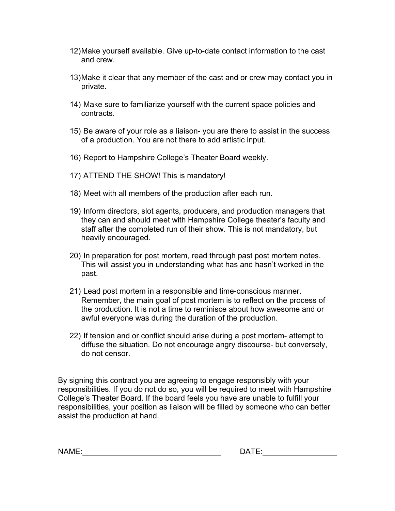- 12)Make yourself available. Give up-to-date contact information to the cast and crew.
- 13)Make it clear that any member of the cast and or crew may contact you in private.
- 14) Make sure to familiarize yourself with the current space policies and contracts.
- 15) Be aware of your role as a liaison- you are there to assist in the success of a production. You are not there to add artistic input.
- 16) Report to Hampshire College's Theater Board weekly.
- 17) ATTEND THE SHOW! This is mandatory!
- 18) Meet with all members of the production after each run.
- 19) Inform directors, slot agents, producers, and production managers that they can and should meet with Hampshire College theater's faculty and staff after the completed run of their show. This is not mandatory, but heavily encouraged.
- 20) In preparation for post mortem, read through past post mortem notes. This will assist you in understanding what has and hasn't worked in the past.
- 21) Lead post mortem in a responsible and time-conscious manner. Remember, the main goal of post mortem is to reflect on the process of the production. It is not a time to reminisce about how awesome and or awful everyone was during the duration of the production.
- 22) If tension and or conflict should arise during a post mortem- attempt to diffuse the situation. Do not encourage angry discourse- but conversely, do not censor.

By signing this contract you are agreeing to engage responsibly with your responsibilities. If you do not do so, you will be required to meet with Hampshire College's Theater Board. If the board feels you have are unable to fulfill your responsibilities, your position as liaison will be filled by someone who can better assist the production at hand.

| N/ |  |  |
|----|--|--|
|    |  |  |